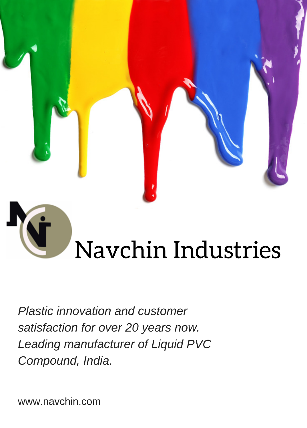

# Navchin Industries

*Plastic innovation and customer satisfaction for over 20 years now. Leading manufacturer of Liquid PVC Compound, India.*

www.navchin.com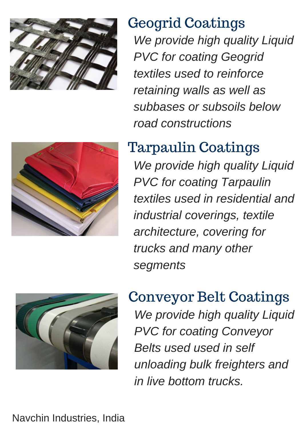

# Geogrid Coatings

*We provide high quality Liquid PVC for coating Geogrid textiles used to reinforce retaining walls as well as subbases or subsoils below road constructions*



*We provide high quality Liquid PVC for coating Tarpaulin textiles used in residential and industrial coverings, textile architecture, covering for trucks and many other segments*



Conveyor Belt Coatings *We provide high quality Liquid PVC for coating Conveyor Belts used used in self unloading bulk freighters and in live bottom trucks.*

Navchin Industries, India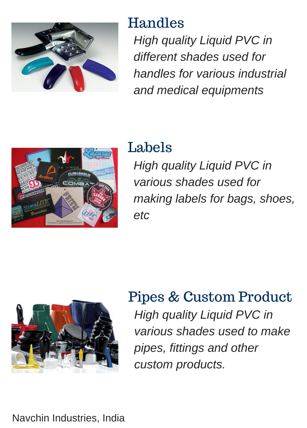

#### Handles

*High quality Liquid PVC in different shades used for handles for various industrial and medical equipments*



## Labels

*High quality Liquid PVC in various shades used for making labels for bags, shoes, etc*



## Pipes & Custom Product *High quality Liquid PVC in various shades used to make pipes, fittings and other custom products.*

Navchin Industries, India